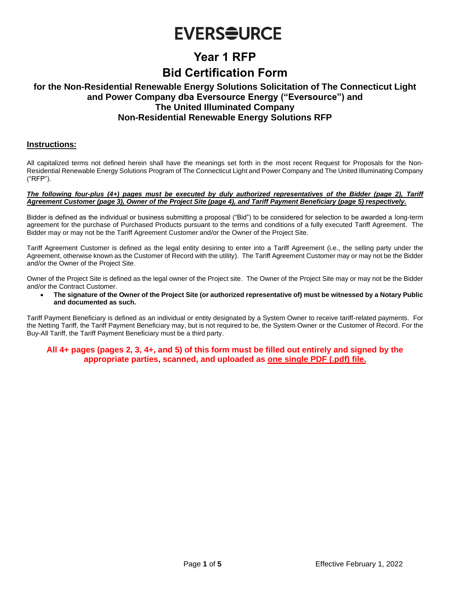## **EVERSOURCE**

## **Year 1 RFP**

### **Bid Certification Form**

### **for the Non-Residential Renewable Energy Solutions Solicitation of The Connecticut Light and Power Company dba Eversource Energy ("Eversource") and The United Illuminated Company Non-Residential Renewable Energy Solutions RFP**

#### **Instructions:**

All capitalized terms not defined herein shall have the meanings set forth in the most recent Request for Proposals for the Non-Residential Renewable Energy Solutions Program of The Connecticut Light and Power Company and The United Illuminating Company ("RFP").

#### *The following four-plus (4+) pages must be executed by duly authorized representatives of the Bidder (page 2), Tariff Agreement Customer (page 3), Owner of the Project Site (page 4), and Tariff Payment Beneficiary (page 5) respectively.*

Bidder is defined as the individual or business submitting a proposal ("Bid") to be considered for selection to be awarded a long-term agreement for the purchase of Purchased Products pursuant to the terms and conditions of a fully executed Tariff Agreement. The Bidder may or may not be the Tariff Agreement Customer and/or the Owner of the Project Site.

Tariff Agreement Customer is defined as the legal entity desiring to enter into a Tariff Agreement (i.e., the selling party under the Agreement, otherwise known as the Customer of Record with the utility). The Tariff Agreement Customer may or may not be the Bidder and/or the Owner of the Project Site.

Owner of the Project Site is defined as the legal owner of the Project site. The Owner of the Project Site may or may not be the Bidder and/or the Contract Customer.

• **The signature of the Owner of the Project Site (or authorized representative of) must be witnessed by a Notary Public and documented as such.**

Tariff Payment Beneficiary is defined as an individual or entity designated by a System Owner to receive tariff-related payments. For the Netting Tariff, the Tariff Payment Beneficiary may, but is not required to be, the System Owner or the Customer of Record. For the Buy-All Tariff, the Tariff Payment Beneficiary must be a third party.

#### **All 4+ pages (pages 2, 3, 4+, and 5) of this form must be filled out entirely and signed by the appropriate parties, scanned, and uploaded as one single PDF (.pdf) file.**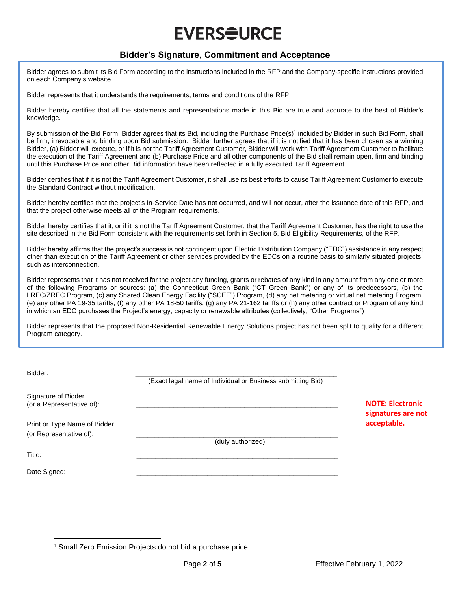# **EVERS<del>Q</del>URCE**

### **Bidder's Signature, Commitment and Acceptance**

Bidder agrees to submit its Bid Form according to the instructions included in the RFP and the Company-specific instructions provided on each Company's website.

Bidder represents that it understands the requirements, terms and conditions of the RFP.

Bidder hereby certifies that all the statements and representations made in this Bid are true and accurate to the best of Bidder's knowledge.

By submission of the Bid Form, Bidder agrees that its Bid, including the Purchase Price(s)<sup>1</sup> included by Bidder in such Bid Form, shall be firm, irrevocable and binding upon Bid submission. Bidder further agrees that if it is notified that it has been chosen as a winning Bidder, (a) Bidder will execute, or if it is not the Tariff Agreement Customer, Bidder will work with Tariff Agreement Customer to facilitate the execution of the Tariff Agreement and (b) Purchase Price and all other components of the Bid shall remain open, firm and binding until this Purchase Price and other Bid information have been reflected in a fully executed Tariff Agreement.

Bidder certifies that if it is not the Tariff Agreement Customer, it shall use its best efforts to cause Tariff Agreement Customer to execute the Standard Contract without modification.

Bidder hereby certifies that the project's In-Service Date has not occurred, and will not occur, after the issuance date of this RFP, and that the project otherwise meets all of the Program requirements.

Bidder hereby certifies that it, or if it is not the Tariff Agreement Customer, that the Tariff Agreement Customer, has the right to use the site described in the Bid Form consistent with the requirements set forth in Section 5, Bid Eligibility Requirements, of the RFP.

Bidder hereby affirms that the project's success is not contingent upon Electric Distribution Company ("EDC") assistance in any respect other than execution of the Tariff Agreement or other services provided by the EDCs on a routine basis to similarly situated projects, such as interconnection.

Bidder represents that it has not received for the project any funding, grants or rebates of any kind in any amount from any one or more of the following Programs or sources: (a) the Connecticut Green Bank ("CT Green Bank") or any of its predecessors, (b) the LREC/ZREC Program, (c) any Shared Clean Energy Facility ("SCEF") Program, (d) any net metering or virtual net metering Program, (e) any other PA 19-35 tariffs, (f) any other PA 18-50 tariffs, (g) any PA 21-162 tariffs or (h) any other contract or Program of any kind in which an EDC purchases the Project's energy, capacity or renewable attributes (collectively, "Other Programs")

Bidder represents that the proposed Non-Residential Renewable Energy Solutions project has not been split to qualify for a different Program category.

| Bidder:                                                 | (Exact legal name of Individual or Business submitting Bid) |                                               |
|---------------------------------------------------------|-------------------------------------------------------------|-----------------------------------------------|
| Signature of Bidder<br>(or a Representative of):        |                                                             | <b>NOTE: Electronic</b><br>signatures are not |
| Print or Type Name of Bidder<br>(or Representative of): | (duly authorized)                                           | acceptable.                                   |
| Title:                                                  |                                                             |                                               |
| Date Signed:                                            |                                                             |                                               |

<sup>1</sup> Small Zero Emission Projects do not bid a purchase price.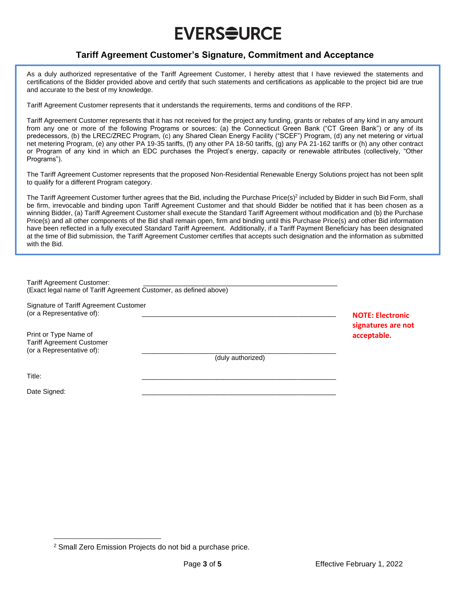# **EVERS<del>Q</del>URCE**

### **Tariff Agreement Customer's Signature, Commitment and Acceptance**

As a duly authorized representative of the Tariff Agreement Customer, I hereby attest that I have reviewed the statements and certifications of the Bidder provided above and certify that such statements and certifications as applicable to the project bid are true and accurate to the best of my knowledge.

Tariff Agreement Customer represents that it understands the requirements, terms and conditions of the RFP.

Tariff Agreement Customer represents that it has not received for the project any funding, grants or rebates of any kind in any amount from any one or more of the following Programs or sources: (a) the Connecticut Green Bank ("CT Green Bank") or any of its predecessors, (b) the LREC/ZREC Program, (c) any Shared Clean Energy Facility ("SCEF") Program, (d) any net metering or virtual net metering Program, (e) any other PA 19-35 tariffs, (f) any other PA 18-50 tariffs, (g) any PA 21-162 tariffs or (h) any other contract or Program of any kind in which an EDC purchases the Project's energy, capacity or renewable attributes (collectively, "Other Programs").

The Tariff Agreement Customer represents that the proposed Non-Residential Renewable Energy Solutions project has not been split to qualify for a different Program category.

The Tariff Agreement Customer further agrees that the Bid, including the Purchase Price(s)<sup>2</sup> included by Bidder in such Bid Form, shall be firm, irrevocable and binding upon Tariff Agreement Customer and that should Bidder be notified that it has been chosen as a winning Bidder, (a) Tariff Agreement Customer shall execute the Standard Tariff Agreement without modification and (b) the Purchase Price(s) and all other components of the Bid shall remain open, firm and binding until this Purchase Price(s) and other Bid information have been reflected in a fully executed Standard Tariff Agreement. Additionally, if a Tariff Payment Beneficiary has been designated at the time of Bid submission, the Tariff Agreement Customer certifies that accepts such designation and the information as submitted with the Bid.

| <b>Tariff Agreement Customer:</b><br>(Exact legal name of Tariff Agreement Customer, as defined above) |                   |                         |
|--------------------------------------------------------------------------------------------------------|-------------------|-------------------------|
|                                                                                                        |                   |                         |
| Signature of Tariff Agreement Customer                                                                 |                   |                         |
| (or a Representative of):                                                                              |                   | <b>NOTE: Electronic</b> |
|                                                                                                        |                   | signatures are not      |
| Print or Type Name of                                                                                  |                   | acceptable.             |
| <b>Tariff Agreement Customer</b><br>(or a Representative of):                                          |                   |                         |
|                                                                                                        | (duly authorized) |                         |
| Title:                                                                                                 |                   |                         |
|                                                                                                        |                   |                         |
| Date Signed:                                                                                           |                   |                         |

<sup>2</sup> Small Zero Emission Projects do not bid a purchase price.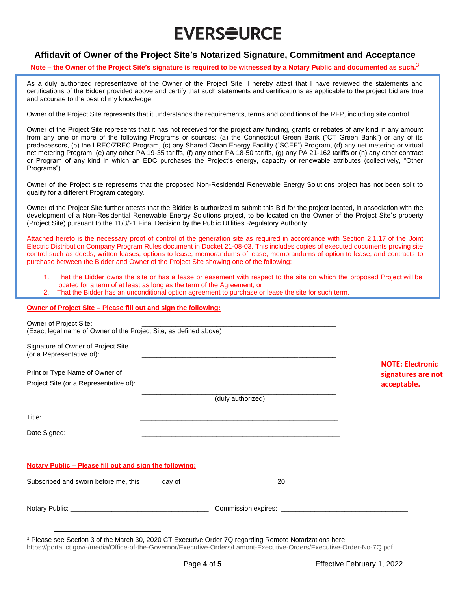# **EVERS<del>Q</del>URCE**

### **Affidavit of Owner of the Project Site's Notarized Signature, Commitment and Acceptance**

#### **Note – the Owner of the Project Site's signature is required to be witnessed by a Notary Public and documented as such.<sup>3</sup>**

As a duly authorized representative of the Owner of the Project Site, I hereby attest that I have reviewed the statements and certifications of the Bidder provided above and certify that such statements and certifications as applicable to the project bid are true and accurate to the best of my knowledge.

Owner of the Project Site represents that it understands the requirements, terms and conditions of the RFP, including site control.

Owner of the Project Site represents that it has not received for the project any funding, grants or rebates of any kind in any amount from any one or more of the following Programs or sources: (a) the Connecticut Green Bank ("CT Green Bank") or any of its predecessors, (b) the LREC/ZREC Program, (c) any Shared Clean Energy Facility ("SCEF") Program, (d) any net metering or virtual net metering Program, (e) any other PA 19-35 tariffs, (f) any other PA 18-50 tariffs, (g) any PA 21-162 tariffs or (h) any other contract or Program of any kind in which an EDC purchases the Project's energy, capacity or renewable attributes (collectively, "Other Programs").

Owner of the Project site represents that the proposed Non-Residential Renewable Energy Solutions project has not been split to qualify for a different Program category.

Owner of the Project Site further attests that the Bidder is authorized to submit this Bid for the project located, in association with the development of a Non-Residential Renewable Energy Solutions project, to be located on the Owner of the Project Site's property (Project Site) pursuant to the 11/3/21 Final Decision by the Public Utilities Regulatory Authority.

Attached hereto is the necessary proof of control of the generation site as required in accordance with Section 2.1.17 of the Joint Electric Distribution Company Program Rules document in Docket 21-08-03. This includes copies of executed documents proving site control such as deeds, written leases, options to lease, memorandums of lease, memorandums of option to lease, and contracts to purchase between the Bidder and Owner of the Project Site showing one of the following:

- That the Bidder owns the site or has a lease or easement with respect to the site on which the proposed Project will be located for a term of at least as long as the term of the Agreement; or
- 2. That the Bidder has an unconditional option agreement to purchase or lease the site for such term.

#### **Owner of Project Site – Please fill out and sign the following:**

| Owner of Project Site:<br>(Exact legal name of Owner of the Project Site, as defined above) |                                                                                                                       |                                               |
|---------------------------------------------------------------------------------------------|-----------------------------------------------------------------------------------------------------------------------|-----------------------------------------------|
| Signature of Owner of Project Site<br>(or a Representative of):                             | <u> 1989 - Johann Stoff, deutscher Stoff, der Stoff, der Stoff, der Stoff, der Stoff, der Stoff, der Stoff, der S</u> |                                               |
| Print or Type Name of Owner of                                                              |                                                                                                                       | <b>NOTE: Electronic</b><br>signatures are not |
| Project Site (or a Representative of):                                                      |                                                                                                                       | acceptable.                                   |
|                                                                                             | (duly authorized)                                                                                                     |                                               |
| Title:                                                                                      | <u> 1980 - An Dùbhlachd ann an Dùbhlachd ann an Dùbhlachd ann an Dùbhlachd ann an Dùbhlachd ann an Dùbhlachd ann </u> |                                               |
| Date Signed:                                                                                |                                                                                                                       |                                               |
| Notary Public - Please fill out and sign the following:                                     |                                                                                                                       |                                               |
| Subscribed and sworn before me, this ______ day of _____________________________            | 20                                                                                                                    |                                               |
|                                                                                             |                                                                                                                       |                                               |
|                                                                                             |                                                                                                                       |                                               |

<sup>3</sup> Please see Section 3 of the March 30, 2020 CT Executive Order 7Q regarding Remote Notarizations here: <https://portal.ct.gov/-/media/Office-of-the-Governor/Executive-Orders/Lamont-Executive-Orders/Executive-Order-No-7Q.pdf>